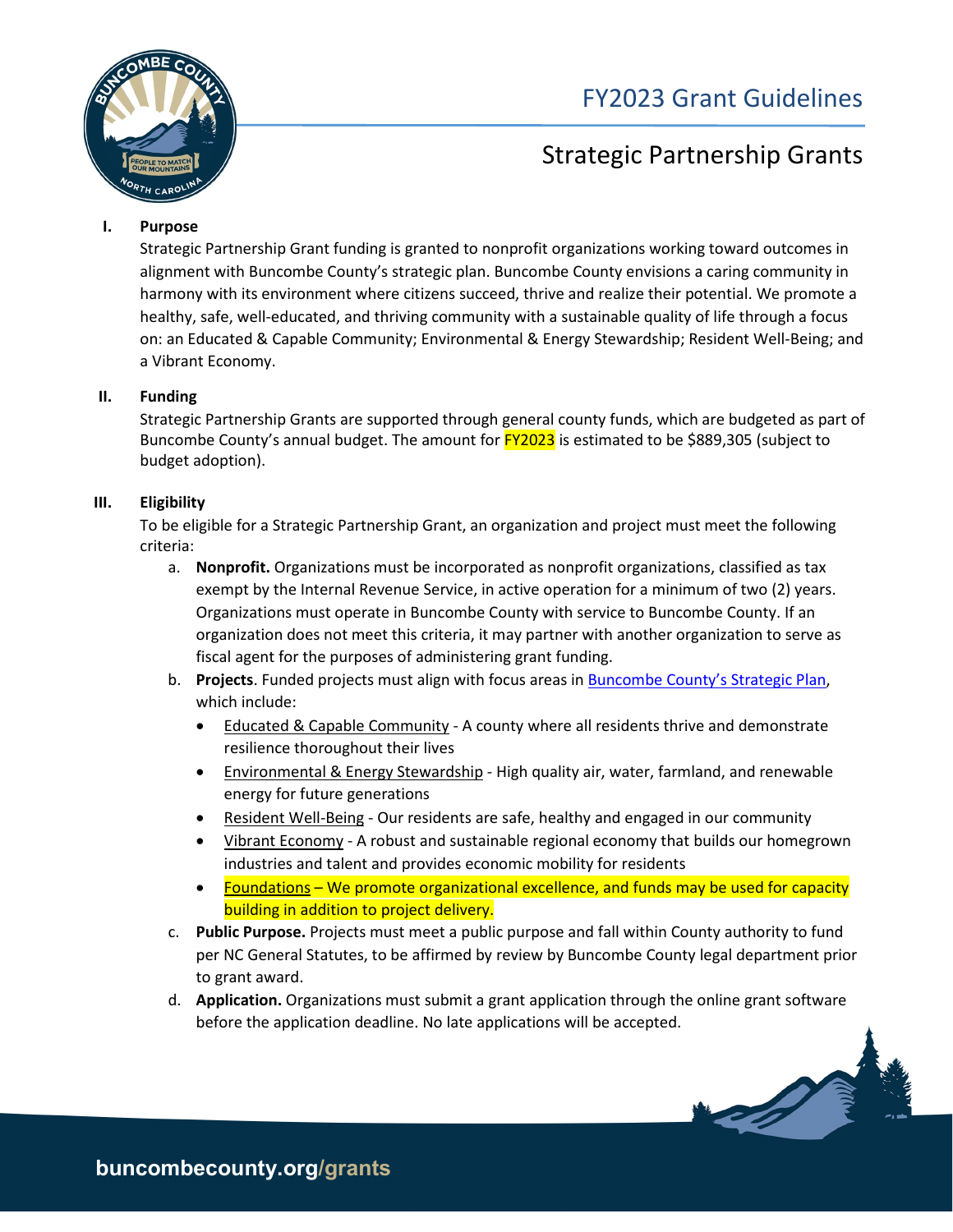

# FY2023 Grant Guidelines

# Strategic Partnership Grants

# **I. Purpose**

Strategic Partnership Grant funding is granted to nonprofit organizations working toward outcomes in alignment with Buncombe County's strategic plan. Buncombe County envisions a caring community in harmony with its environment where citizens succeed, thrive and realize their potential. We promote a healthy, safe, well-educated, and thriving community with a sustainable quality of life through a focus on: an Educated & Capable Community; Environmental & Energy Stewardship; Resident Well-Being; and a Vibrant Economy.

# **II. Funding**

Strategic Partnership Grants are supported through general county funds, which are budgeted as part of Buncombe County's annual budget. The amount for **FY2023** is estimated to be \$889,305 (subject to budget adoption).

# **III. Eligibility**

To be eligible for a Strategic Partnership Grant, an organization and project must meet the following criteria:

- a. **Nonprofit.** Organizations must be incorporated as nonprofit organizations, classified as tax exempt by the Internal Revenue Service, in active operation for a minimum of two (2) years. Organizations must operate in Buncombe County with service to Buncombe County. If an organization does not meet this criteria, it may partner with another organization to serve as fiscal agent for the purposes of administering grant funding.
- b. **Projects**. Funded projects must align with focus areas in [Buncombe County's Strategic Plan,](https://www.buncombecounty.org/governing/commissioners/strategic-plan.aspx?redirect=2025) which include:
	- Educated & Capable Community A county where all residents thrive and demonstrate resilience thoroughout their lives
	- Environmental & Energy Stewardship High quality air, water, farmland, and renewable energy for future generations
	- Resident Well-Being Our residents are safe, healthy and engaged in our community
	- Vibrant Economy A robust and sustainable regional economy that builds our homegrown industries and talent and provides economic mobility for residents
	- Foundations We promote organizational excellence, and funds may be used for capacity building in addition to project delivery.
- c. **Public Purpose.** Projects must meet a public purpose and fall within County authority to fund per NC General Statutes, to be affirmed by review by Buncombe County legal department prior to grant award.
- d. **Application.** Organizations must submit a grant application through the online grant software before the application deadline. No late applications will be accepted.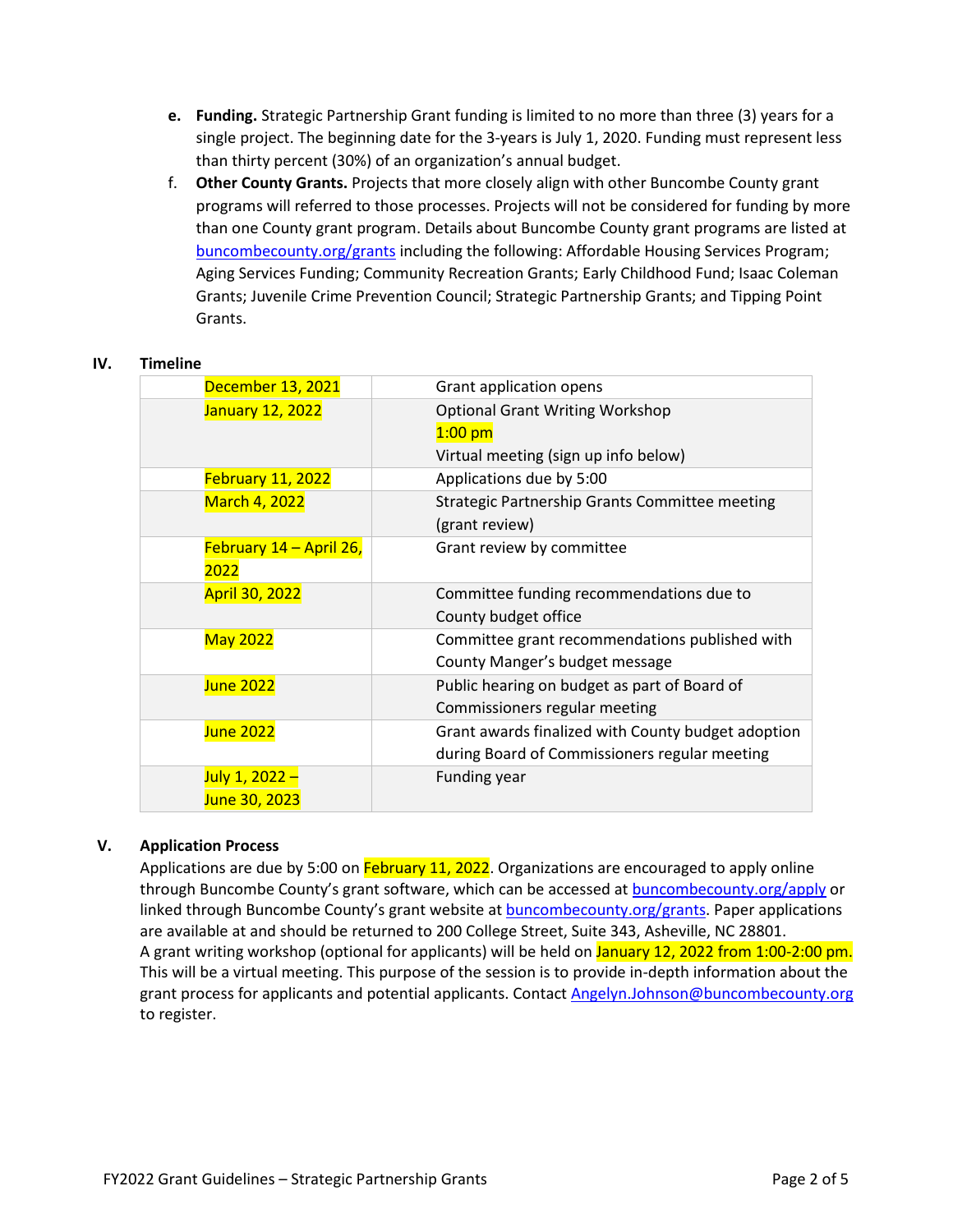- **e. Funding.** Strategic Partnership Grant funding is limited to no more than three (3) years for a single project. The beginning date for the 3-years is July 1, 2020. Funding must represent less than thirty percent (30%) of an organization's annual budget.
- f. **Other County Grants.** Projects that more closely align with other Buncombe County grant programs will referred to those processes. Projects will not be considered for funding by more than one County grant program. Details about Buncombe County grant programs are listed at [buncombecounty.org/grants](http://www.buncombecounty.org/grants) including the following: Affordable Housing Services Program; Aging Services Funding; Community Recreation Grants; Early Childhood Fund; Isaac Coleman Grants; Juvenile Crime Prevention Council; Strategic Partnership Grants; and Tipping Point Grants.

### **IV. Timeline**

|  | December 13, 2021       | Grant application opens                            |
|--|-------------------------|----------------------------------------------------|
|  | January 12, 2022        | <b>Optional Grant Writing Workshop</b>             |
|  |                         | $1:00$ pm                                          |
|  |                         | Virtual meeting (sign up info below)               |
|  | February 11, 2022       | Applications due by 5:00                           |
|  | March 4, 2022           | Strategic Partnership Grants Committee meeting     |
|  |                         | (grant review)                                     |
|  | February 14 - April 26, | Grant review by committee                          |
|  | 2022                    |                                                    |
|  | <b>April 30, 2022</b>   | Committee funding recommendations due to           |
|  |                         | County budget office                               |
|  | <b>May 2022</b>         | Committee grant recommendations published with     |
|  |                         | County Manger's budget message                     |
|  | June 2022               | Public hearing on budget as part of Board of       |
|  |                         | Commissioners regular meeting                      |
|  | <b>June 2022</b>        | Grant awards finalized with County budget adoption |
|  |                         | during Board of Commissioners regular meeting      |
|  | July 1, 2022 -          | <b>Funding year</b>                                |
|  | June 30, 2023           |                                                    |
|  |                         |                                                    |

# **V. Application Process**

Applications are due by 5:00 on February 11, 2022. Organizations are encouraged to apply online through Buncombe County's grant software, which can be accessed at **buncombecounty.org/apply** or linked through Buncombe County's grant website at [buncombecounty.org/grants.](http://www.buncombecounty.org/grants) Paper applications are available at and should be returned to 200 College Street, Suite 343, Asheville, NC 28801. A grant writing workshop (optional for applicants) will be held on January 12, 2022 from 1:00-2:00 pm. This will be a virtual meeting. This purpose of the session is to provide in-depth information about the grant process for applicants and potential applicants. Contact [Angelyn.Johnson@buncombecounty.org](mailto:Angelyn.Johnson@buncombecounty.org) to register.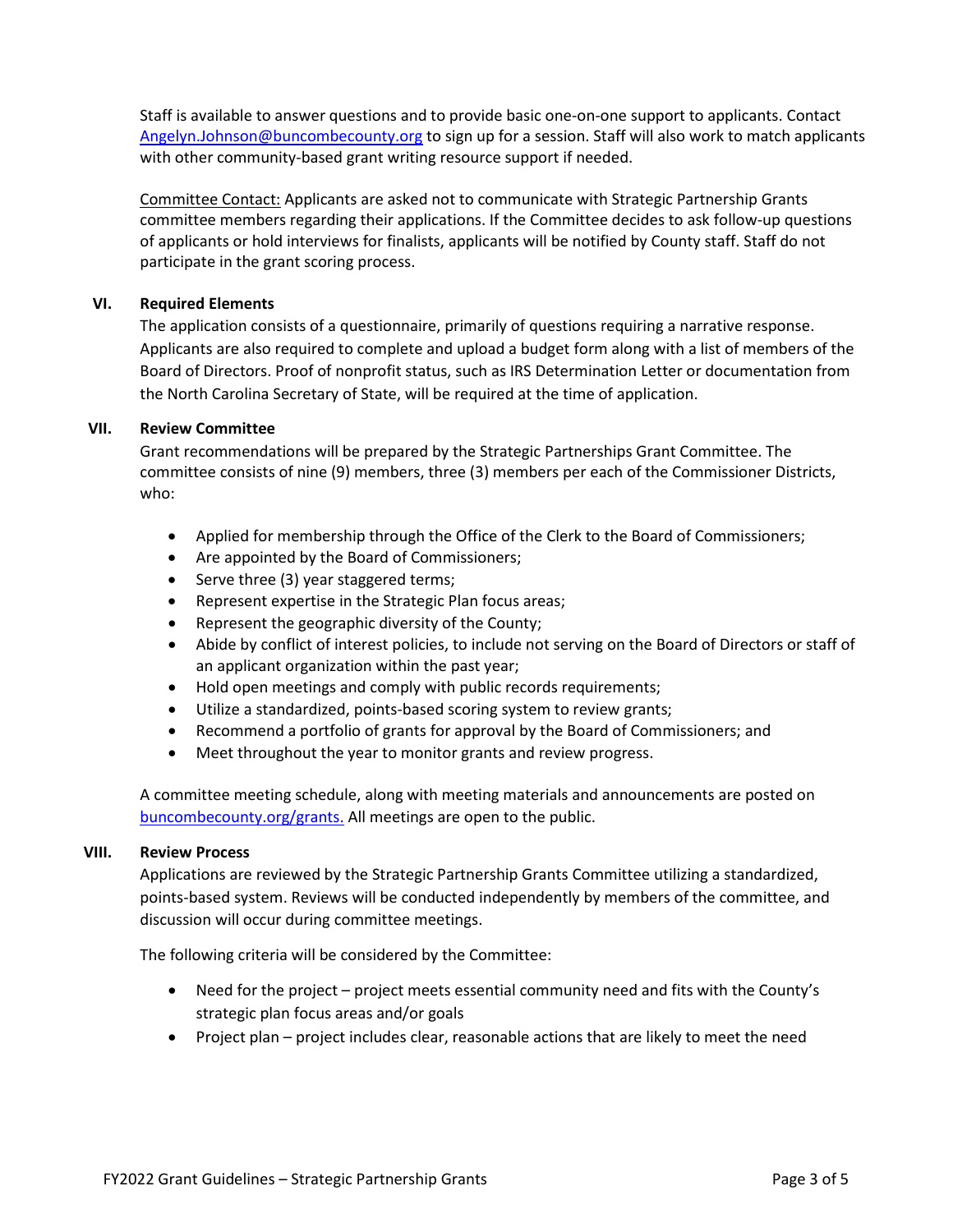Staff is available to answer questions and to provide basic one-on-one support to applicants. Contact [Angelyn.Johnson@buncombecounty.org](mailto:Angelyn.Johnson@buncombecounty.org) to sign up for a session. Staff will also work to match applicants with other community-based grant writing resource support if needed.

Committee Contact: Applicants are asked not to communicate with Strategic Partnership Grants committee members regarding their applications. If the Committee decides to ask follow-up questions of applicants or hold interviews for finalists, applicants will be notified by County staff. Staff do not participate in the grant scoring process.

# **VI. Required Elements**

The application consists of a questionnaire, primarily of questions requiring a narrative response. Applicants are also required to complete and upload a budget form along with a list of members of the Board of Directors. Proof of nonprofit status, such as IRS Determination Letter or documentation from the North Carolina Secretary of State, will be required at the time of application.

### **VII. Review Committee**

Grant recommendations will be prepared by the Strategic Partnerships Grant Committee. The committee consists of nine (9) members, three (3) members per each of the Commissioner Districts, who:

- Applied for membership through the Office of the Clerk to the Board of Commissioners;
- Are appointed by the Board of Commissioners;
- Serve three (3) year staggered terms;
- Represent expertise in the Strategic Plan focus areas;
- Represent the geographic diversity of the County;
- Abide by conflict of interest policies, to include not serving on the Board of Directors or staff of an applicant organization within the past year;
- Hold open meetings and comply with public records requirements;
- Utilize a standardized, points-based scoring system to review grants;
- Recommend a portfolio of grants for approval by the Board of Commissioners; and
- Meet throughout the year to monitor grants and review progress.

A committee meeting schedule, along with meeting materials and announcements are posted on [buncombecounty.org/grants.](http://www.buncombecounty.org/grants) All meetings are open to the public.

### **VIII. Review Process**

Applications are reviewed by the Strategic Partnership Grants Committee utilizing a standardized, points-based system. Reviews will be conducted independently by members of the committee, and discussion will occur during committee meetings.

The following criteria will be considered by the Committee:

- Need for the project project meets essential community need and fits with the County's strategic plan focus areas and/or goals
- Project plan project includes clear, reasonable actions that are likely to meet the need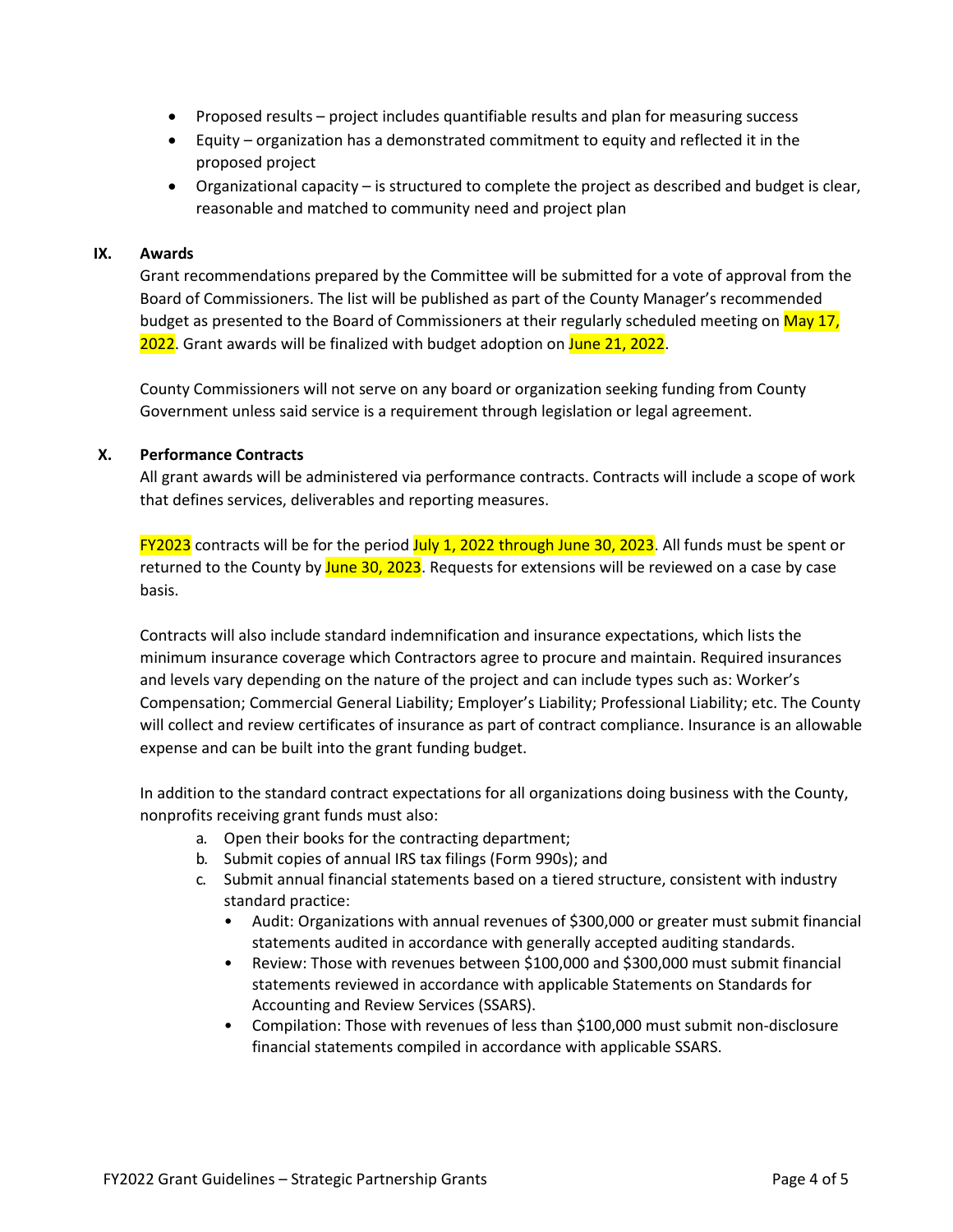- Proposed results project includes quantifiable results and plan for measuring success
- Equity organization has a demonstrated commitment to equity and reflected it in the proposed project
- Organizational capacity is structured to complete the project as described and budget is clear, reasonable and matched to community need and project plan

## **IX. Awards**

Grant recommendations prepared by the Committee will be submitted for a vote of approval from the Board of Commissioners. The list will be published as part of the County Manager's recommended budget as presented to the Board of Commissioners at their regularly scheduled meeting on May 17, 2022. Grant awards will be finalized with budget adoption on June 21, 2022.

County Commissioners will not serve on any board or organization seeking funding from County Government unless said service is a requirement through legislation or legal agreement.

# **X. Performance Contracts**

All grant awards will be administered via performance contracts. Contracts will include a scope of work that defines services, deliverables and reporting measures.

FY2023 contracts will be for the period July 1, 2022 through June 30, 2023. All funds must be spent or returned to the County by June 30, 2023. Requests for extensions will be reviewed on a case by case basis.

Contracts will also include standard indemnification and insurance expectations, which lists the minimum insurance coverage which Contractors agree to procure and maintain. Required insurances and levels vary depending on the nature of the project and can include types such as: Worker's Compensation; Commercial General Liability; Employer's Liability; Professional Liability; etc. The County will collect and review certificates of insurance as part of contract compliance. Insurance is an allowable expense and can be built into the grant funding budget.

In addition to the standard contract expectations for all organizations doing business with the County, nonprofits receiving grant funds must also:

- a. Open their books for the contracting department;
- b. Submit copies of annual IRS tax filings (Form 990s); and
- c. Submit annual financial statements based on a tiered structure, consistent with industry standard practice:
	- Audit: Organizations with annual revenues of \$300,000 or greater must submit financial statements audited in accordance with generally accepted auditing standards.
	- Review: Those with revenues between \$100,000 and \$300,000 must submit financial statements reviewed in accordance with applicable Statements on Standards for Accounting and Review Services (SSARS).
	- Compilation: Those with revenues of less than \$100,000 must submit non-disclosure financial statements compiled in accordance with applicable SSARS.